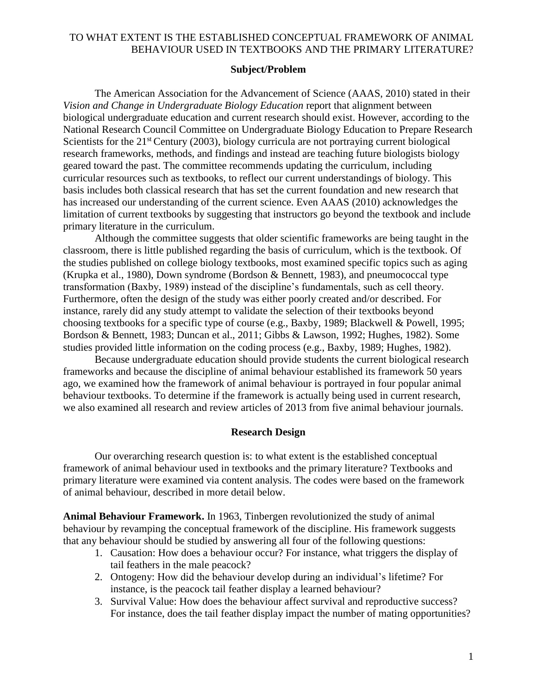#### **Subject/Problem**

The American Association for the Advancement of Science (AAAS, 2010) stated in their *Vision and Change in Undergraduate Biology Education* report that alignment between biological undergraduate education and current research should exist. However, according to the National Research Council Committee on Undergraduate Biology Education to Prepare Research Scientists for the  $21<sup>st</sup>$  Century (2003), biology curricula are not portraying current biological research frameworks, methods, and findings and instead are teaching future biologists biology geared toward the past. The committee recommends updating the curriculum, including curricular resources such as textbooks, to reflect our current understandings of biology. This basis includes both classical research that has set the current foundation and new research that has increased our understanding of the current science. Even AAAS (2010) acknowledges the limitation of current textbooks by suggesting that instructors go beyond the textbook and include primary literature in the curriculum.

Although the committee suggests that older scientific frameworks are being taught in the classroom, there is little published regarding the basis of curriculum, which is the textbook. Of the studies published on college biology textbooks, most examined specific topics such as aging (Krupka et al., 1980), Down syndrome (Bordson & Bennett, 1983), and pneumococcal type transformation (Baxby, 1989) instead of the discipline's fundamentals, such as cell theory. Furthermore, often the design of the study was either poorly created and/or described. For instance, rarely did any study attempt to validate the selection of their textbooks beyond choosing textbooks for a specific type of course (e.g., Baxby, 1989; Blackwell & Powell, 1995; Bordson & Bennett, 1983; Duncan et al., 2011; Gibbs & Lawson, 1992; Hughes, 1982). Some studies provided little information on the coding process (e.g., Baxby, 1989; Hughes, 1982).

Because undergraduate education should provide students the current biological research frameworks and because the discipline of animal behaviour established its framework 50 years ago, we examined how the framework of animal behaviour is portrayed in four popular animal behaviour textbooks. To determine if the framework is actually being used in current research, we also examined all research and review articles of 2013 from five animal behaviour journals.

#### **Research Design**

Our overarching research question is: to what extent is the established conceptual framework of animal behaviour used in textbooks and the primary literature? Textbooks and primary literature were examined via content analysis. The codes were based on the framework of animal behaviour, described in more detail below.

**Animal Behaviour Framework.** In 1963, Tinbergen revolutionized the study of animal behaviour by revamping the conceptual framework of the discipline. His framework suggests that any behaviour should be studied by answering all four of the following questions:

- 1. Causation: How does a behaviour occur? For instance, what triggers the display of tail feathers in the male peacock?
- 2. Ontogeny: How did the behaviour develop during an individual's lifetime? For instance, is the peacock tail feather display a learned behaviour?
- 3. Survival Value: How does the behaviour affect survival and reproductive success? For instance, does the tail feather display impact the number of mating opportunities?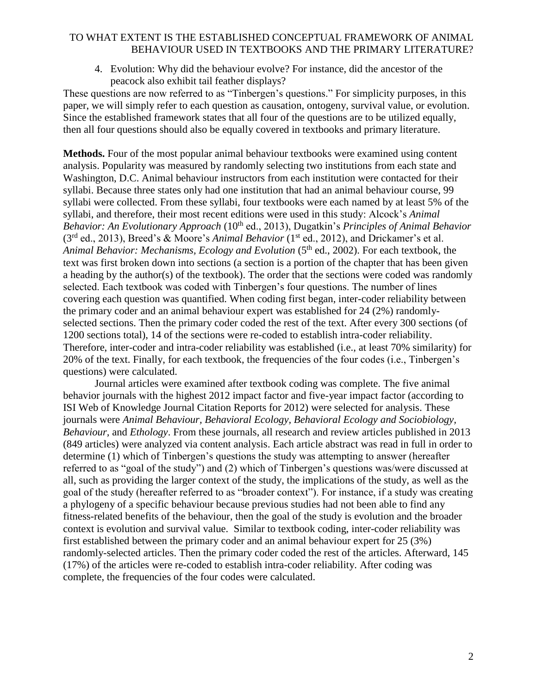4. Evolution: Why did the behaviour evolve? For instance, did the ancestor of the peacock also exhibit tail feather displays?

These questions are now referred to as "Tinbergen's questions." For simplicity purposes, in this paper, we will simply refer to each question as causation, ontogeny, survival value, or evolution. Since the established framework states that all four of the questions are to be utilized equally, then all four questions should also be equally covered in textbooks and primary literature.

**Methods.** Four of the most popular animal behaviour textbooks were examined using content analysis. Popularity was measured by randomly selecting two institutions from each state and Washington, D.C. Animal behaviour instructors from each institution were contacted for their syllabi. Because three states only had one institution that had an animal behaviour course, 99 syllabi were collected. From these syllabi, four textbooks were each named by at least 5% of the syllabi, and therefore, their most recent editions were used in this study: Alcock's *Animal Behavior: An Evolutionary Approach* (10<sup>th</sup> ed., 2013), Dugatkin's *Principles of Animal Behavior* (3rd ed., 2013), Breed's & Moore's *Animal Behavior* (1st ed., 2012), and Drickamer's et al. Animal Behavior: Mechanisms, Ecology and Evolution (5<sup>th</sup> ed., 2002). For each textbook, the text was first broken down into sections (a section is a portion of the chapter that has been given a heading by the author(s) of the textbook). The order that the sections were coded was randomly selected. Each textbook was coded with Tinbergen's four questions. The number of lines covering each question was quantified. When coding first began, inter-coder reliability between the primary coder and an animal behaviour expert was established for 24 (2%) randomlyselected sections. Then the primary coder coded the rest of the text. After every 300 sections (of 1200 sections total), 14 of the sections were re-coded to establish intra-coder reliability. Therefore, inter-coder and intra-coder reliability was established (i.e., at least 70% similarity) for 20% of the text. Finally, for each textbook, the frequencies of the four codes (i.e., Tinbergen's questions) were calculated.

Journal articles were examined after textbook coding was complete. The five animal behavior journals with the highest 2012 impact factor and five-year impact factor (according to ISI Web of Knowledge Journal Citation Reports for 2012) were selected for analysis. These journals were *Animal Behaviour, Behavioral Ecology, Behavioral Ecology and Sociobiology, Behaviour,* and *Ethology*. From these journals, all research and review articles published in 2013 (849 articles) were analyzed via content analysis. Each article abstract was read in full in order to determine (1) which of Tinbergen's questions the study was attempting to answer (hereafter referred to as "goal of the study") and (2) which of Tinbergen's questions was/were discussed at all, such as providing the larger context of the study, the implications of the study, as well as the goal of the study (hereafter referred to as "broader context"). For instance, if a study was creating a phylogeny of a specific behaviour because previous studies had not been able to find any fitness-related benefits of the behaviour, then the goal of the study is evolution and the broader context is evolution and survival value. Similar to textbook coding, inter-coder reliability was first established between the primary coder and an animal behaviour expert for 25 (3%) randomly-selected articles. Then the primary coder coded the rest of the articles. Afterward, 145 (17%) of the articles were re-coded to establish intra-coder reliability. After coding was complete, the frequencies of the four codes were calculated.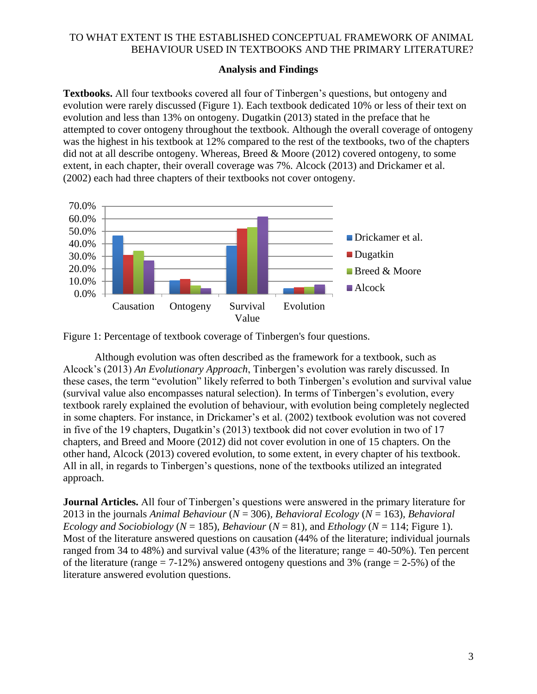## **Analysis and Findings**

**Textbooks.** All four textbooks covered all four of Tinbergen's questions, but ontogeny and evolution were rarely discussed (Figure 1). Each textbook dedicated 10% or less of their text on evolution and less than 13% on ontogeny. Dugatkin (2013) stated in the preface that he attempted to cover ontogeny throughout the textbook. Although the overall coverage of ontogeny was the highest in his textbook at 12% compared to the rest of the textbooks, two of the chapters did not at all describe ontogeny. Whereas, Breed & Moore (2012) covered ontogeny, to some extent, in each chapter, their overall coverage was 7%. Alcock (2013) and Drickamer et al. (2002) each had three chapters of their textbooks not cover ontogeny.





Although evolution was often described as the framework for a textbook, such as Alcock's (2013) *An Evolutionary Approach*, Tinbergen's evolution was rarely discussed. In these cases, the term "evolution" likely referred to both Tinbergen's evolution and survival value (survival value also encompasses natural selection). In terms of Tinbergen's evolution, every textbook rarely explained the evolution of behaviour, with evolution being completely neglected in some chapters. For instance, in Drickamer's et al. (2002) textbook evolution was not covered in five of the 19 chapters, Dugatkin's (2013) textbook did not cover evolution in two of 17 chapters, and Breed and Moore (2012) did not cover evolution in one of 15 chapters. On the other hand, Alcock (2013) covered evolution, to some extent, in every chapter of his textbook. All in all, in regards to Tinbergen's questions, none of the textbooks utilized an integrated approach.

**Journal Articles.** All four of Tinbergen's questions were answered in the primary literature for 2013 in the journals *Animal Behaviour* (*N* = 306)*, Behavioral Ecology* (*N* = 163)*, Behavioral Ecology and Sociobiology (N = 185), Behaviour (N = 81), and <i>Ethology (N = 114; Figure 1).* Most of the literature answered questions on causation (44% of the literature; individual journals ranged from 34 to 48%) and survival value (43% of the literature; range  $=$  40-50%). Ten percent of the literature (range  $= 7-12\%$ ) answered ontogeny questions and 3% (range  $= 2-5\%$ ) of the literature answered evolution questions.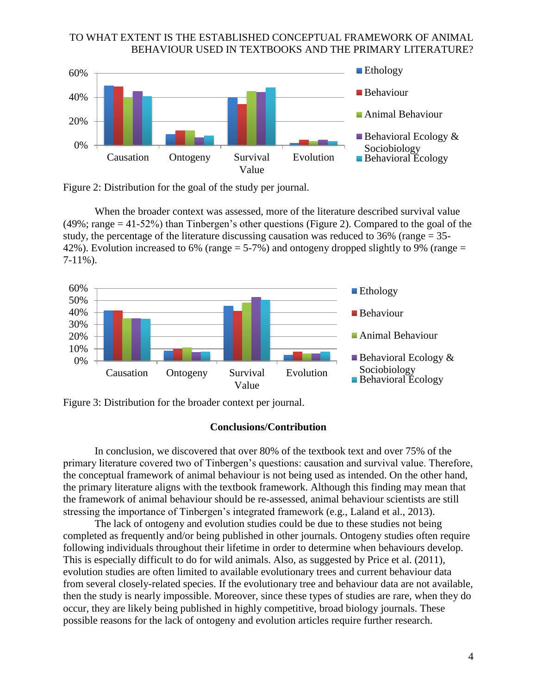



When the broader context was assessed, more of the literature described survival value (49%; range = 41-52%) than Tinbergen's other questions (Figure 2). Compared to the goal of the study, the percentage of the literature discussing causation was reduced to 36% (range = 35- 42%). Evolution increased to 6% (range  $=$  5-7%) and ontogeny dropped slightly to 9% (range  $=$ 7-11%).



Figure 3: Distribution for the broader context per journal.

## **Conclusions/Contribution**

In conclusion, we discovered that over 80% of the textbook text and over 75% of the primary literature covered two of Tinbergen's questions: causation and survival value. Therefore, the conceptual framework of animal behaviour is not being used as intended. On the other hand, the primary literature aligns with the textbook framework. Although this finding may mean that the framework of animal behaviour should be re-assessed, animal behaviour scientists are still stressing the importance of Tinbergen's integrated framework (e.g., Laland et al., 2013).

The lack of ontogeny and evolution studies could be due to these studies not being completed as frequently and/or being published in other journals. Ontogeny studies often require following individuals throughout their lifetime in order to determine when behaviours develop. This is especially difficult to do for wild animals. Also, as suggested by Price et al. (2011), evolution studies are often limited to available evolutionary trees and current behaviour data from several closely-related species. If the evolutionary tree and behaviour data are not available, then the study is nearly impossible. Moreover, since these types of studies are rare, when they do occur, they are likely being published in highly competitive, broad biology journals. These possible reasons for the lack of ontogeny and evolution articles require further research.